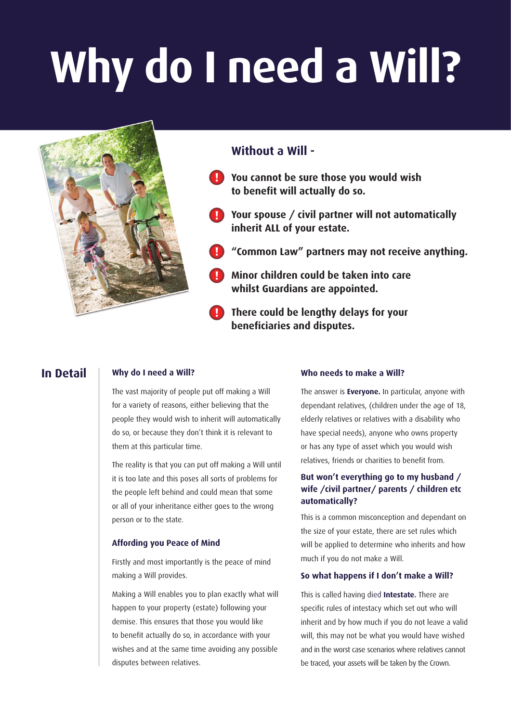# **Why do I need a Will?**



# **In Detail**

## **Why do I need a Will?**

The vast majority of people put off making a Will for a variety of reasons, either believing that the people they would wish to inherit will automatically do so, or because they don't think it is relevant to them at this particular time.

The reality is that you can put off making a Will until it is too late and this poses all sorts of problems for the people left behind and could mean that some or all of your inheritance either goes to the wrong person or to the state.

## **Affording you Peace of Mind**

Firstly and most importantly is the peace of mind making a Will provides.

Making a Will enables you to plan exactly what will happen to your property (estate) following your demise. This ensures that those you would like to benefit actually do so, in accordance with your wishes and at the same time avoiding any possible disputes between relatives.

## **Who needs to make a Will?**

The answer is **Everyone.** In particular, anyone with dependant relatives, (children under the age of 18, elderly relatives or relatives with a disability who have special needs), anyone who owns property or has any type of asset which you would wish relatives, friends or charities to benefit from.

# **But won't everything go to my husband / wife /civil partner/ parents / children etc automatically?**

This is a common misconception and dependant on the size of your estate, there are set rules which will be applied to determine who inherits and how much if you do not make a Will.

## **So what happens if I don't make a Will?**

This is called having died **Intestate.** There are specific rules of intestacy which set out who will inherit and by how much if you do not leave a valid will, this may not be what you would have wished and in the worst case scenarios where relatives cannot be traced, your assets will be taken by the Crown.